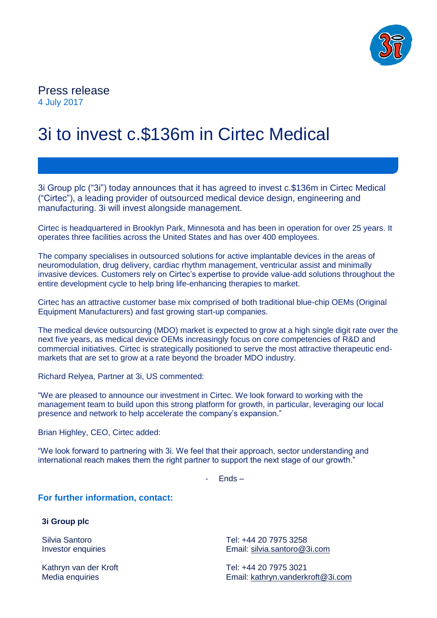

## Press release 4 July 2017

# 3i to invest c.\$136m in Cirtec Medical

3i Group plc ("3i") today announces that it has agreed to invest c.\$136m in Cirtec Medical ("Cirtec"), a leading provider of outsourced medical device design, engineering and manufacturing. 3i will invest alongside management.

Cirtec is headquartered in Brooklyn Park, Minnesota and has been in operation for over 25 years. It operates three facilities across the United States and has over 400 employees.

The company specialises in outsourced solutions for active implantable devices in the areas of neuromodulation, drug delivery, cardiac rhythm management, ventricular assist and minimally invasive devices. Customers rely on Cirtec's expertise to provide value-add solutions throughout the entire development cycle to help bring life-enhancing therapies to market.

Cirtec has an attractive customer base mix comprised of both traditional blue-chip OEMs (Original Equipment Manufacturers) and fast growing start-up companies.

The medical device outsourcing (MDO) market is expected to grow at a high single digit rate over the next five years, as medical device OEMs increasingly focus on core competencies of R&D and commercial initiatives. Cirtec is strategically positioned to serve the most attractive therapeutic endmarkets that are set to grow at a rate beyond the broader MDO industry.

Richard Relyea, Partner at 3i, US commented:

"We are pleased to announce our investment in Cirtec. We look forward to working with the management team to build upon this strong platform for growth, in particular, leveraging our local presence and network to help accelerate the company's expansion."

Brian Highley, CEO, Cirtec added:

"We look forward to partnering with 3i. We feel that their approach, sector understanding and international reach makes them the right partner to support the next stage of our growth."

- Ends –

**For further information, contact:**

**3i Group plc**

Silvia Santoro Investor enquiries

Kathryn van der Kroft Media enquiries

Tel: +44 20 7975 3258 Email: [silvia.santoro@3i.com](mailto:silvia.santoro@3i.com)

Tel: +44 20 7975 3021 Email: [kathryn.vanderkroft@3i.com](mailto:kathryn.vanderkroft@3i.com)